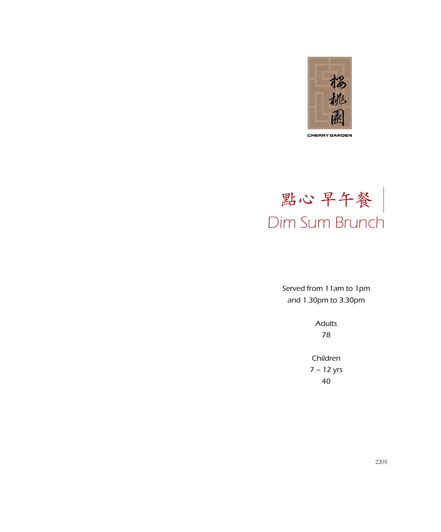



Served from 11am to 1pm and 1.30pm to 3.30pm

> Adults 78

Children 7 – 12 yrs 40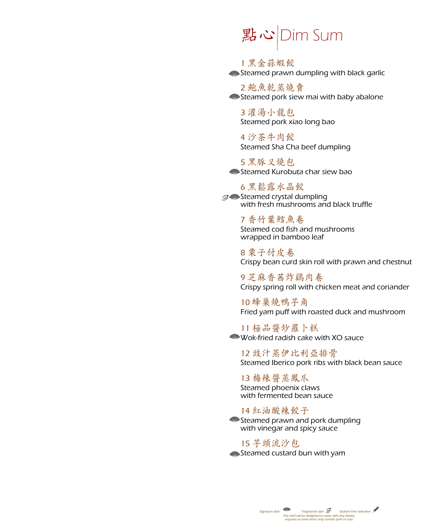## **點心 Dim Sum**

1 黑金蒜虾饺 Steamed prawn dumpling with black garlic

2 鮑魚乾蒸燒賣 Steamed pork siew mai with baby abalone

3 灌汤小龙包 Steamed pork xiao long bao

4 沙茶牛肉饺 Steamed Sha Cha beef dumpling

5 黑豚叉烧包 Steamed Kurobuta char siew bao

### 6 黑松露水晶饺

**Steamed crystal dumpling** with fresh mushrooms and black truffle

> 7 香竹葉鱈魚卷 Steamed cod fish and mushrooms wrapped in bamboo leaf

8 栗子付皮卷 Crispy bean curd skin roll with prawn and chestnut

9 芝麻香茜炸鷄肉卷 Crispy spring roll with chicken meat and coriander

10 蜂巢烧鸭芋角 Fried yam puff with roasted duck and mushroom

11 极品酱炒萝卜糕 Wok-fried radish cake with XO sauce

12 豉汁蒸伊比利亚排骨 Steamed Iberico pork ribs with black bean sauce

13 梅辣酱蒸凤爪 Steamed phoenix claws with fermented bean sauce

14 红油酸辣饺子 Steamed prawn and pork dumpling with vinegar and spicy sauce

15 芋头流沙包 Steamed custard bun with yam

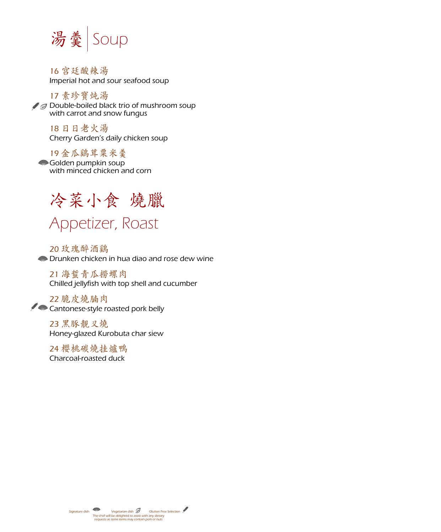

16 宫廷酸辣汤 Imperial hot and sour seafood soup

17 素珍宝炖汤  $\mathscr{F}$  Double-boiled black trio of mushroom soup with carrot and snow fungus

18 日日老火汤 Cherry Garden's daily chicken soup

19 金瓜鸡茸粟米羹 Golden pumpkin soup with minced chicken and corn



20 玫瑰醉酒鸡 Drunken chicken in hua diao and rose dew wine

21 海蜇青瓜捞螺肉 Chilled jellyfish with top shell and cucumber

22 脆皮烧腩肉 Cantonese-style roasted pork belly

> 23 黑豚靓叉烧 Honey-glazed Kurobuta char siew

24 櫻桃碳燒挂爐鴨 Charcoal-roasted duck

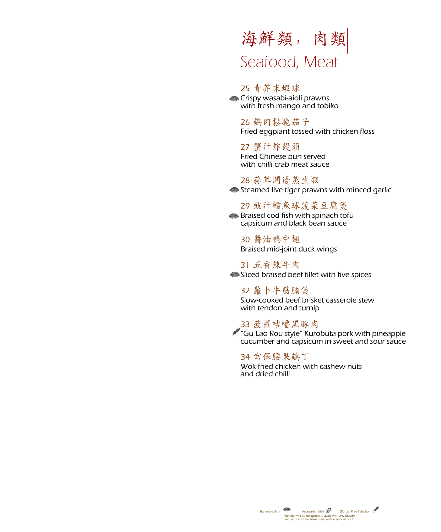### 海鮮類,肉類 Seafood, Meat

#### 25 青芥末虾球

**Crispy wasabi-aioli prawns** with fresh mango and tobiko

26 鷄肉鬆脆茄子 Fried eggplant tossed with chicken floss

27 蟹汁炸馒头 Fried Chinese bun served with chilli crab meat sauce

28 蒜茸開邊蒸生蝦 Steamed live tiger prawns with minced garlic

29 豉汁鳕鱼球菠菜豆腐煲 **Braised cod fish with spinach tofully** 

capsicum and black bean sauce

30 酱油鸭中翅 Braised mid-joint duck wings

31 五香辣牛肉 Sliced braised beef fillet with five spices

32 萝卜牛筋腩煲 Slow-cooked beef brisket casserole stew with tendon and turnip

33 菠萝咕噜黑豚肉 "Gu Lao Rou style" Kurobuta pork with pineapple cucumber and capsicum in sweet and sour sauce

34 宫保腰果鸡丁 Wok-fried chicken with cashew nuts and dried chilli

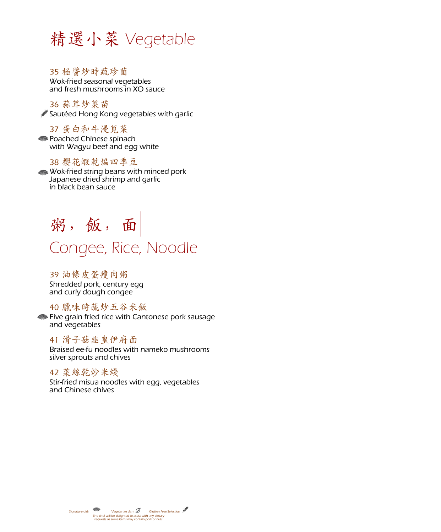

35 极酱炒时蔬珍菌

Wok-fried seasonal vegetables and fresh mushrooms in XO sauce

36 蒜茸炒菜苗 Sautéed Hong Kong vegetables with garlic

37 蛋白和牛浸莧菜 **Poached Chinese spinach** with Wagyu beef and egg white

#### 38 樱花虾乾煸四季豆

Wok-fried string beans with minced pork Japanese dried shrimp and garlic in black bean sauce

## 粥, 飯, 面 Congee, Rice, Noodle

39 油条皮蛋瘦肉粥 Shredded pork, century egg and curly dough congee

#### 40 腊味时蔬炒五谷米饭

Five grain fried rice with Cantonese pork sausage and vegetables

#### 41 滑子菇韭皇伊府面

Braised ee-fu noodles with nameko mushrooms silver sprouts and chives

#### 42 菜丝乾炒米线

Stir-fried misua noodles with egg, vegetables and Chinese chives